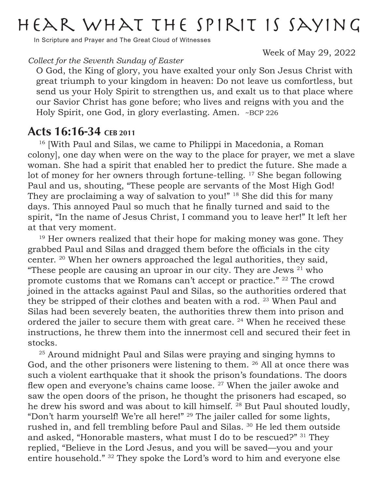## Hear what the Spirit is saying

In Scripture and Prayer and The Great Cloud of Witnesses

Week of May 29, 2022

*Collect for the Seventh Sunday of Easter*

O God, the King of glory, you have exalted your only Son Jesus Christ with great triumph to your kingdom in heaven: Do not leave us comfortless, but send us your Holy Spirit to strengthen us, and exalt us to that place where our Savior Christ has gone before; who lives and reigns with you and the Holy Spirit, one God, in glory everlasting. Amen. ~BCP 226

### Acts 16:16-34 CEB 2011

<sup>16</sup> [With Paul and Silas, we came to Philippi in Macedonia, a Roman colony], one day when were on the way to the place for prayer, we met a slave woman. She had a spirit that enabled her to predict the future. She made a lot of money for her owners through fortune-telling. 17 She began following Paul and us, shouting, "These people are servants of the Most High God! They are proclaiming a way of salvation to you!" <sup>18</sup> She did this for many days. This annoyed Paul so much that he finally turned and said to the spirit, "In the name of Jesus Christ, I command you to leave her!" It left her at that very moment.

<sup>19</sup> Her owners realized that their hope for making money was gone. They grabbed Paul and Silas and dragged them before the officials in the city center. 20 When her owners approached the legal authorities, they said, "These people are causing an uproar in our city. They are Jews  $21$  who promote customs that we Romans can't accept or practice." 22 The crowd joined in the attacks against Paul and Silas, so the authorities ordered that they be stripped of their clothes and beaten with a rod. <sup>23</sup> When Paul and Silas had been severely beaten, the authorities threw them into prison and ordered the jailer to secure them with great care. 24 When he received these instructions, he threw them into the innermost cell and secured their feet in stocks.

<sup>25</sup> Around midnight Paul and Silas were praying and singing hymns to God, and the other prisoners were listening to them. <sup>26</sup> All at once there was such a violent earthquake that it shook the prison's foundations. The doors flew open and everyone's chains came loose. <sup>27</sup> When the jailer awoke and saw the open doors of the prison, he thought the prisoners had escaped, so he drew his sword and was about to kill himself. 28 But Paul shouted loudly, "Don't harm yourself! We're all here!" 29 The jailer called for some lights, rushed in, and fell trembling before Paul and Silas. 30 He led them outside and asked, "Honorable masters, what must I do to be rescued?" 31 They replied, "Believe in the Lord Jesus, and you will be saved—you and your entire household." 32 They spoke the Lord's word to him and everyone else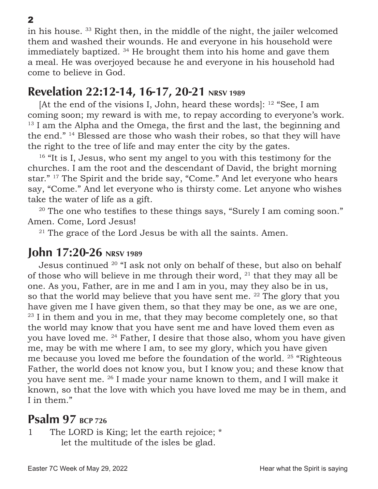in his house. 33 Right then, in the middle of the night, the jailer welcomed them and washed their wounds. He and everyone in his household were immediately baptized. 34 He brought them into his home and gave them a meal. He was overjoyed because he and everyone in his household had come to believe in God.

## Revelation 22:12-14, 16-17, 20-21 NRSV 1989

[At the end of the visions I, John, heard these words]: 12 "See, I am coming soon; my reward is with me, to repay according to everyone's work. <sup>13</sup> I am the Alpha and the Omega, the first and the last, the beginning and the end." 14 Blessed are those who wash their robes, so that they will have the right to the tree of life and may enter the city by the gates.

<sup>16</sup> "It is I, Jesus, who sent my angel to you with this testimony for the churches. I am the root and the descendant of David, the bright morning star." 17 The Spirit and the bride say, "Come." And let everyone who hears say, "Come." And let everyone who is thirsty come. Let anyone who wishes take the water of life as a gift.

<sup>20</sup> The one who testifies to these things says, "Surely I am coming soon." Amen. Come, Lord Jesus!

<sup>21</sup> The grace of the Lord Jesus be with all the saints. Amen.

### **John 17:20-26** NRSV 1989

Jesus continued 20 "I ask not only on behalf of these, but also on behalf of those who will believe in me through their word,  $21$  that they may all be one. As you, Father, are in me and I am in you, may they also be in us, so that the world may believe that you have sent me. <sup>22</sup> The glory that you have given me I have given them, so that they may be one, as we are one,  $23$  I in them and you in me, that they may become completely one, so that the world may know that you have sent me and have loved them even as you have loved me. 24 Father, I desire that those also, whom you have given me, may be with me where I am, to see my glory, which you have given me because you loved me before the foundation of the world. 25 "Righteous Father, the world does not know you, but I know you; and these know that you have sent me. 26 I made your name known to them, and I will make it known, so that the love with which you have loved me may be in them, and I in them."

### **Psalm 97 BCP 726**

1 The LORD is King; let the earth rejoice; \* let the multitude of the isles be glad.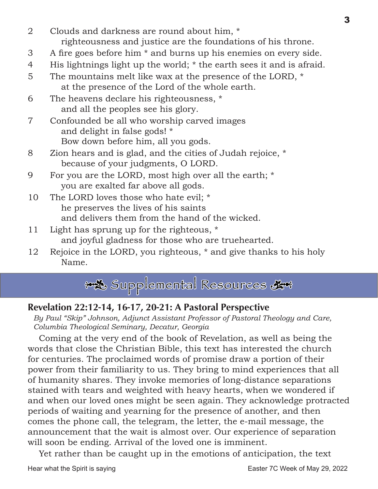3

- 2 Clouds and darkness are round about him, \* righteousness and justice are the foundations of his throne.
- 3 A fire goes before him \* and burns up his enemies on every side.
- 4 His lightnings light up the world; \* the earth sees it and is afraid.
- 5 The mountains melt like wax at the presence of the LORD, \* at the presence of the Lord of the whole earth.
- 6 The heavens declare his righteousness, \* and all the peoples see his glory.
- 7 Confounded be all who worship carved images and delight in false gods! \* Bow down before him, all you gods.
- 8 Zion hears and is glad, and the cities of Judah rejoice, \* because of your judgments, O LORD.
- 9 For you are the LORD, most high over all the earth; \* you are exalted far above all gods.
- 10 The LORD loves those who hate evil; \* he preserves the lives of his saints and delivers them from the hand of the wicked.
- 11 Light has sprung up for the righteous, \* and joyful gladness for those who are truehearted.
- 12 Rejoice in the LORD, you righteous, \* and give thanks to his holy Name.

† Supplemental Resources ¢

### Revelation 22:12-14, 16-17, 20-21: A Pastoral Perspective

*By Paul "Skip" Johnson, Adjunct Assistant Professor of Pastoral Theology and Care, Columbia Theological Seminary, Decatur, Georgia* 

Coming at the very end of the book of Revelation, as well as being the words that close the Christian Bible, this text has interested the church for centuries. The proclaimed words of promise draw a portion of their power from their familiarity to us. They bring to mind experiences that all of humanity shares. They invoke memories of long-distance separations stained with tears and weighted with heavy hearts, when we wondered if and when our loved ones might be seen again. They acknowledge protracted periods of waiting and yearning for the presence of another, and then comes the phone call, the telegram, the letter, the e-mail message, the announcement that the wait is almost over. Our experience of separation will soon be ending. Arrival of the loved one is imminent.

Yet rather than be caught up in the emotions of anticipation, the text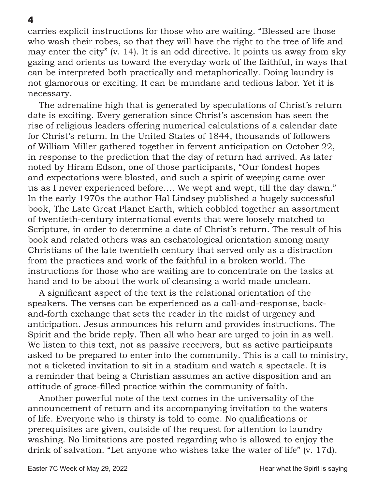4

carries explicit instructions for those who are waiting. "Blessed are those who wash their robes, so that they will have the right to the tree of life and may enter the city" (v. 14). It is an odd directive. It points us away from sky gazing and orients us toward the everyday work of the faithful, in ways that can be interpreted both practically and metaphorically. Doing laundry is not glamorous or exciting. It can be mundane and tedious labor. Yet it is necessary.

The adrenaline high that is generated by speculations of Christ's return date is exciting. Every generation since Christ's ascension has seen the rise of religious leaders offering numerical calculations of a calendar date for Christ's return. In the United States of 1844, thousands of followers of William Miller gathered together in fervent anticipation on October 22, in response to the prediction that the day of return had arrived. As later noted by Hiram Edson, one of those participants, "Our fondest hopes and expectations were blasted, and such a spirit of weeping came over us as I never experienced before.… We wept and wept, till the day dawn." In the early 1970s the author Hal Lindsey published a hugely successful book, The Late Great Planet Earth, which cobbled together an assortment of twentieth-century international events that were loosely matched to Scripture, in order to determine a date of Christ's return. The result of his book and related others was an eschatological orientation among many Christians of the late twentieth century that served only as a distraction from the practices and work of the faithful in a broken world. The instructions for those who are waiting are to concentrate on the tasks at hand and to be about the work of cleansing a world made unclean.

A significant aspect of the text is the relational orientation of the speakers. The verses can be experienced as a call-and-response, backand-forth exchange that sets the reader in the midst of urgency and anticipation. Jesus announces his return and provides instructions. The Spirit and the bride reply. Then all who hear are urged to join in as well. We listen to this text, not as passive receivers, but as active participants asked to be prepared to enter into the community. This is a call to ministry, not a ticketed invitation to sit in a stadium and watch a spectacle. It is a reminder that being a Christian assumes an active disposition and an attitude of grace-filled practice within the community of faith.

Another powerful note of the text comes in the universality of the announcement of return and its accompanying invitation to the waters of life. Everyone who is thirsty is told to come. No qualifications or prerequisites are given, outside of the request for attention to laundry washing. No limitations are posted regarding who is allowed to enjoy the drink of salvation. "Let anyone who wishes take the water of life" (v. 17d).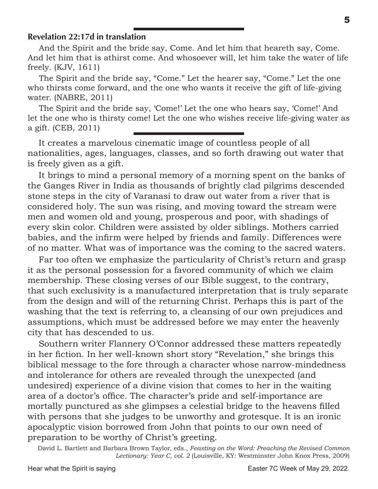### Revelation 22:17d in translation

And the Spirit and the bride say, Come. And let him that heareth say, Come. And let him that is athirst come. And whosoever will, let him take the water of life freely. (KJV, 1611)

The Spirit and the bride say, "Come." Let the hearer say, "Come." Let the one who thirsts come forward, and the one who wants it receive the gift of life-giving water. (NABRE, 2011)

The Spirit and the bride say, 'Come!' Let the one who hears say, 'Come!' And let the one who is thirsty come! Let the one who wishes receive life-giving water as a gift. (CEB, 2011)

It creates a marvelous cinematic image of countless people of all nationalities, ages, languages, classes, and so forth drawing out water that is freely given as a gift.

It brings to mind a personal memory of a morning spent on the banks of the Ganges River in India as thousands of brightly clad pilgrims descended stone steps in the city of Varanasi to draw out water from a river that is considered holy. The sun was rising, and moving toward the stream were men and women old and young, prosperous and poor, with shadings of every skin color. Children were assisted by older siblings. Mothers carried babies, and the infirm were helped by friends and family. Differences were of no matter. What was of importance was the coming to the sacred waters.

Far too often we emphasize the particularity of Christ's return and grasp it as the personal possession for a favored community of which we claim membership. These closing verses of our Bible suggest, to the contrary, that such exclusivity is a manufactured interpretation that is truly separate from the design and will of the returning Christ. Perhaps this is part of the washing that the text is referring to, a cleansing of our own prejudices and assumptions, which must be addressed before we may enter the heavenly city that has descended to us.

Southern writer Flannery O'Connor addressed these matters repeatedly in her fiction. In her well-known short story "Revelation," she brings this biblical message to the fore through a character whose narrow-mindedness and intolerance for others are revealed through the unexpected (and undesired) experience of a divine vision that comes to her in the waiting area of a doctor's office. The character's pride and self-importance are mortally punctured as she glimpses a celestial bridge to the heavens filled with persons that she judges to be unworthy and grotesque. It is an ironic apocalyptic vision borrowed from John that points to our own need of preparation to be worthy of Christ's greeting.

David L. Bartlett and Barbara Brown Taylor, eds., *Feasting on the Word: Preaching the Revised Common Lectionary: Year C, vol. 2* (Louisville, KY: Westminster John Knox Press, 2009)

5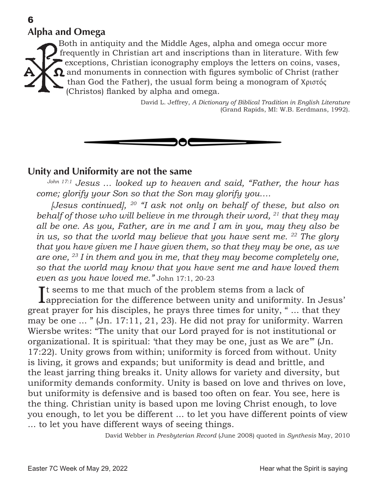### 6 Alpha and Omega

Both in antiquity and the Middle Ages, alpha and omega occur more frequently in Christian art and inscriptions than in literature. With few exceptions, Christian iconography employs the letters on coins, vases,  $\Omega$  and monuments in connection with figures symbolic of Christ (rather than God the Father), the usual form being a monogram of Χριστός (Christos) flanked by alpha and omega.

> David L. Jeffrey, *A Dictionary of Biblical Tradition in English Literature* (Grand Rapids, MI: W.B. Eerdmans, 1992).



### Unity and Uniformity are not the same

*John 17:1 Jesus … looked up to heaven and said, "Father, the hour has come; glorify your Son so that the Son may glorify you….*

 *[Jesus continued], 20 "I ask not only on behalf of these, but also on behalf of those who will believe in me through their word, 21 that they may all be one. As you, Father, are in me and I am in you, may they also be in us, so that the world may believe that you have sent me.* <sup>22</sup> The glory *that you have given me I have given them, so that they may be one, as we are one, 23 I in them and you in me, that they may become completely one, so that the world may know that you have sent me and have loved them even as you have loved me."* John 17:1, 20-23

 $\int_{0}^{t}$  seems to me that much of the problem stems from a lack of appreciation for the difference between unity and uniformity. In Jesus'  $\mathsf T$ t seems to me that much of the problem stems from a lack of great prayer for his disciples, he prays three times for unity, " ... that they may be one ... " (Jn. 17:11, 21, 23). He did not pray for uniformity. Warren Wiersbe writes: "The unity that our Lord prayed for is not institutional or organizational. It is spiritual: 'that they may be one, just as We are'" (Jn. 17:22). Unity grows from within; uniformity is forced from without. Unity is living, it grows and expands; but uniformity is dead and brittle, and the least jarring thing breaks it. Unity allows for variety and diversity, but uniformity demands conformity. Unity is based on love and thrives on love, but uniformity is defensive and is based too often on fear. You see, here is the thing. Christian unity is based upon me loving Christ enough, to love you enough, to let you be different ... to let you have different points of view ... to let you have different ways of seeing things.

David Webber in *Presbyterian Record* (June 2008) quoted in *Synthesis* May, 2010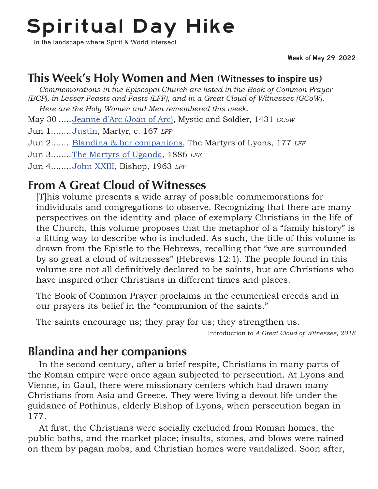# Spiritual Day Hike

In the landscape where Spirit & World intersect

## This Week's Holy Women and Men (Witnesses to inspire us)

*Commemorations in the Episcopal Church are listed in the Book of Common Prayer (BCP), in Lesser Feasts and Fasts (LFF), and in a Great Cloud of Witnesses (GCoW).*

*Here are the Holy Women and Men remembered this week:*

May 30 ..... [Jeanne d'Arc \(Joan of Arc\)](https://holywomenholymen.wordpress.com/2016/05/30/may-30-jeanne-darc-joan-of-arc/), Mystic and Soldier, 1431 *GCoW* 

Jun 1........[Justin,](https://holywomenholymen.wordpress.com/2016/06/01/jun-1-justin-martyr/) Martyr, c. 167 LFF

Jun 2, .......[Blandina & her companions,](https://holywomenholymen.wordpress.com/2016/06/02/blandina-and-her-companions/) The Martyrs of Lyons, 177 *LFF* 

Jun 3........ [The Martyrs of Uganda,](https://holywomenholymen.wordpress.com/2016/06/03/jun-3-martyrs-of-uganda/) 1886 LFF

Jun 4........[John XXIII](https://holywomenholymen.wordpress.com/2016/06/04/jun-4-john-xxiii/), Bishop, 1963 LFF

## From A Great Cloud of Witnesses

[T]his volume presents a wide array of possible commemorations for individuals and congregations to observe. Recognizing that there are many perspectives on the identity and place of exemplary Christians in the life of the Church, this volume proposes that the metaphor of a "family history" is a fitting way to describe who is included. As such, the title of this volume is drawn from the Epistle to the Hebrews, recalling that "we are surrounded by so great a cloud of witnesses" (Hebrews 12:1). The people found in this volume are not all definitively declared to be saints, but are Christians who have inspired other Christians in different times and places.

The Book of Common Prayer proclaims in the ecumenical creeds and in our prayers its belief in the "communion of the saints."

The saints encourage us; they pray for us; they strengthen us.

Introduction to *A Great Cloud of Witnesses, 2018*

## Blandina and her companions

In the second century, after a brief respite, Christians in many parts of the Roman empire were once again subjected to persecution. At Lyons and Vienne, in Gaul, there were missionary centers which had drawn many Christians from Asia and Greece. They were living a devout life under the guidance of Pothinus, elderly Bishop of Lyons, when persecution began in 177.

At first, the Christians were socially excluded from Roman homes, the public baths, and the market place; insults, stones, and blows were rained on them by pagan mobs, and Christian homes were vandalized. Soon after,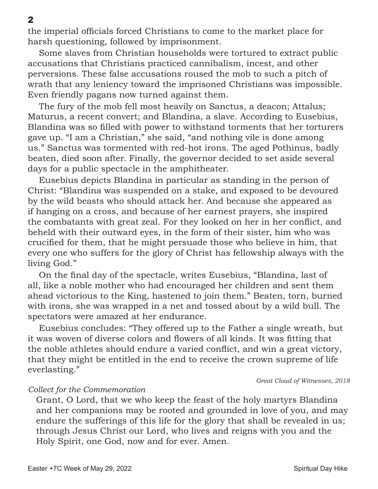the imperial officials forced Christians to come to the market place for harsh questioning, followed by imprisonment.

Some slaves from Christian households were tortured to extract public accusations that Christians practiced cannibalism, incest, and other perversions. These false accusations roused the mob to such a pitch of wrath that any leniency toward the imprisoned Christians was impossible. Even friendly pagans now turned against them.

The fury of the mob fell most heavily on Sanctus, a deacon; Attalus; Maturus, a recent convert; and Blandina, a slave. According to Eusebius, Blandina was so filled with power to withstand torments that her torturers gave up. "I am a Christian," she said, "and nothing vile is done among us." Sanctus was tormented with red-hot irons. The aged Pothinus, badly beaten, died soon after. Finally, the governor decided to set aside several days for a public spectacle in the amphitheater.

Eusebius depicts Blandina in particular as standing in the person of Christ: "Blandina was suspended on a stake, and exposed to be devoured by the wild beasts who should attack her. And because she appeared as if hanging on a cross, and because of her earnest prayers, she inspired the combatants with great zeal. For they looked on her in her conflict, and beheld with their outward eyes, in the form of their sister, him who was crucified for them, that he might persuade those who believe in him, that every one who suffers for the glory of Christ has fellowship always with the living God."

On the final day of the spectacle, writes Eusebius, "Blandina, last of all, like a noble mother who had encouraged her children and sent them ahead victorious to the King, hastened to join them." Beaten, torn, burned with irons, she was wrapped in a net and tossed about by a wild bull. The spectators were amazed at her endurance.

Eusebius concludes: "They offered up to the Father a single wreath, but it was woven of diverse colors and flowers of all kinds. It was fitting that the noble athletes should endure a varied conflict, and win a great victory, that they might be entitled in the end to receive the crown supreme of life everlasting."

*Great Cloud of Witnesses, 2018*

### *Collect for the Commemoration*

Grant, O Lord, that we who keep the feast of the holy martyrs Blandina and her companions may be rooted and grounded in love of you, and may endure the sufferings of this life for the glory that shall be revealed in us; through Jesus Christ our Lord, who lives and reigns with you and the Holy Spirit, one God, now and for ever. Amen.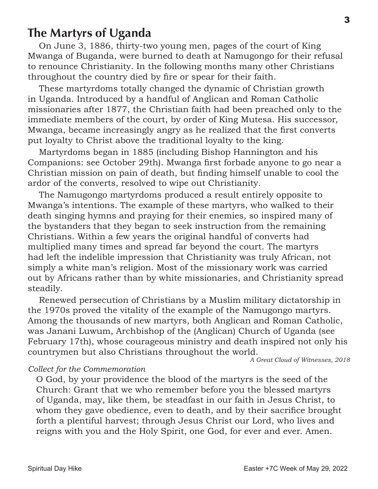## The Martyrs of Uganda

On June 3, 1886, thirty-two young men, pages of the court of King Mwanga of Buganda, were burned to death at Namugongo for their refusal to renounce Christianity. In the following months many other Christians throughout the country died by fire or spear for their faith.

These martyrdoms totally changed the dynamic of Christian growth in Uganda. Introduced by a handful of Anglican and Roman Catholic missionaries after 1877, the Christian faith had been preached only to the immediate members of the court, by order of King Mutesa. His successor, Mwanga, became increasingly angry as he realized that the first converts put loyalty to Christ above the traditional loyalty to the king.

Martyrdoms began in 1885 (including Bishop Hannington and his Companions: see October 29th). Mwanga first forbade anyone to go near a Christian mission on pain of death, but finding himself unable to cool the ardor of the converts, resolved to wipe out Christianity.

The Namugongo martyrdoms produced a result entirely opposite to Mwanga's intentions. The example of these martyrs, who walked to their death singing hymns and praying for their enemies, so inspired many of the bystanders that they began to seek instruction from the remaining Christians. Within a few years the original handful of converts had multiplied many times and spread far beyond the court. The martyrs had left the indelible impression that Christianity was truly African, not simply a white man's religion. Most of the missionary work was carried out by Africans rather than by white missionaries, and Christianity spread steadily.

Renewed persecution of Christians by a Muslim military dictatorship in the 1970s proved the vitality of the example of the Namugongo martyrs. Among the thousands of new martyrs, both Anglican and Roman Catholic, was Janani Luwum, Archbishop of the (Anglican) Church of Uganda (see February 17th), whose courageous ministry and death inspired not only his countrymen but also Christians throughout the world.

*A Great Cloud of Witnesses, 2018*

### *Collect for the Commemoration*

O God, by your providence the blood of the martyrs is the seed of the Church: Grant that we who remember before you the blessed martyrs of Uganda, may, like them, be steadfast in our faith in Jesus Christ, to whom they gave obedience, even to death, and by their sacrifice brought forth a plentiful harvest; through Jesus Christ our Lord, who lives and reigns with you and the Holy Spirit, one God, for ever and ever. Amen.